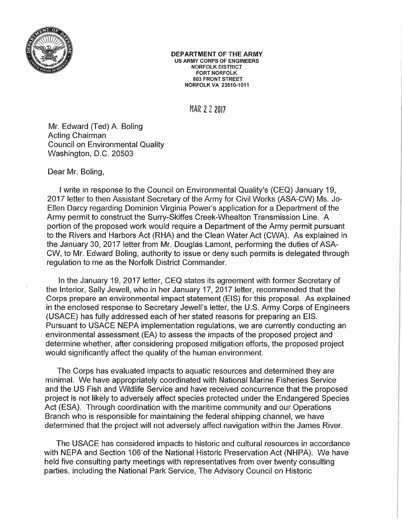

## DEPARTMENT OF THE ARMY US ARMY CORPS OF ENGINEERS NORFOLK DISTRICT FORT NORFOLK 803 FRONT STREET NORFOLK VA 23510-1011

MAR 2 2 2017

Mr. Edward (Ted) A. Baling Acting Chairman Council on Environmental Quality Washington, D.C. 20503

## Dear Mr. Boling,

I write in response to the Council on Environmental Quality's (CEQ) January 19, 2017 letter to then Assistant Secretary of the Army for Civil Works (ASA-CW) Ms. Jo-Ellen Darcy regarding Dominion Virginia Power's application for a Department of the Army permit to construct the Surry-Skiffes Creek-Whealton Transmission Line. A portion of the proposed work would require a Department of the Army permit pursuant to the Rivers and Harbors Act (RHA) and the Clean Water Act (CWA). As explained in the January 30, 2017 letter from Mr. Douglas Lamont, performing the duties of ASA-CW, to Mr. Edward Baling, authority to issue or deny such permits is delegated through regulation to me as the Norfolk District Commander.

In the January 19, 2017 letter, CEQ states its agreement with former Secretary of the Interior, Sally Jewell, who in her January 17,2017 letter, recommended that the Corps prepare an environmental impact statement (EIS) for this proposal. As explained in the enclosed response to Secretary Jewell's letter, the U.S. Army Corps of Engineers (USAGE) has fully addressed each of her stated reasons for preparing an EIS. Pursuant to USAGE NEPA implementation regulations, we are currently conducting an environmental assessment (EA) to assess the impacts of the proposed project and determine whether, after considering proposed mitigation efforts, the proposed project would significantly affect the quality of the human environment.

The Corps has evaluated impacts to aquatic resources and determined they are minimal. We have appropriately coordinated with National Marine Fisheries Service and the US Fish and Wildlife Service and have received concurrence that the proposed project is not likely to adversely affect species protected under the Endangered Species Act (ESA). Through coordination with the maritime community and our Operations Branch who is responsible for maintaining the federal shipping channel, we have determined that the project will not adversely affect navigation within the James River.

The USAGE has considered impacts to historic and cultural resources in accordance with NEPA and Section 106 of the National Historic Preservation Act (NHPA). We have held five consulting party meetings with representatives from over twenty consulting parties, including the National Park Service, The Advisory Council on Historic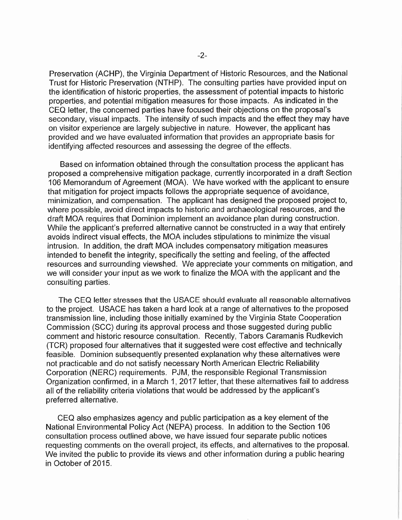Preservation (ACHP), the Virginia Department of Historic Resources, and the National Trust for Historic Preservation (NTHP). The consulting parties have provided input on the identification of historic properties, the assessment of potential impacts to historic properties, and potential mitigation measures for those impacts. As indicated in the CEQ letter, the concerned parties have focused their objections on the proposal's secondary, visual impacts. The intensity of such impacts and the effect they may have on visitor experience are largely subjective in nature. However, the applicant has provided and we have evaluated information that provides an appropriate basis for identifying affected resources and assessing the degree of the effects.

Based on information obtained through the consultation process the applicant has proposed a comprehensive mitigation package, currently incorporated in a draft Section 106 Memorandum of Agreement (MOA). We have worked with the applicant to ensure that mitigation for project impacts follows the appropriate sequence of avoidance, minimization, and compensation. The applicant has designed the proposed project to, where possible, avoid direct impacts to historic and archaeological resources, and the draft MOA requires that Dominion implement an avoidance plan during construction. While the applicant's preferred alternative cannot be constructed in a way that entirely avoids indirect visual effects, the MOA includes stipulations to minimize the visual intrusion. In addition, the draft MOA includes compensatory mitigation measures intended to benefit the integrity, specifically the setting and feeling, of the affected resources and surrounding viewshed. We appreciate your comments on mitigation, and we will consider your input as we work to finalize the MOA with the applicant and the consulting parties.

The CEQ letter stresses that the USAGE should evaluate all reasonable alternatives to the project. USAGE has taken a hard look at a range of alternatives to the proposed transmission line, including those initially examined by the Virginia State Cooperation Commission (SCC) during its approval process and those suggested during public comment and historic resource consultation. Recently, Tabors Caramanis Rudkevich (TCR) proposed four alternatives that it suggested were cost effective and technically feasible. Dominion subsequently presented explanation why these alternatives were not practicable and do not satisfy necessary North American Electric Reliability Corporation (NERC) requirements. PJM, the responsible Regional Transmission Organization confirmed, in a March 1, 2017 letter, that these alternatives fail to address all of the reliability criteria violations that would be addressed by the applicant's preferred alternative.

CEQ also emphasizes agency and public participation as a key element of the National Environmental Policy Act (NEPA) process. In addition to the Section 106 consultation process outlined above, we have issued four separate public notices requesting comments on the overall project, its effects, and alternatives to the proposal. We invited the public to provide its views and other information during a public hearing in October of 2015.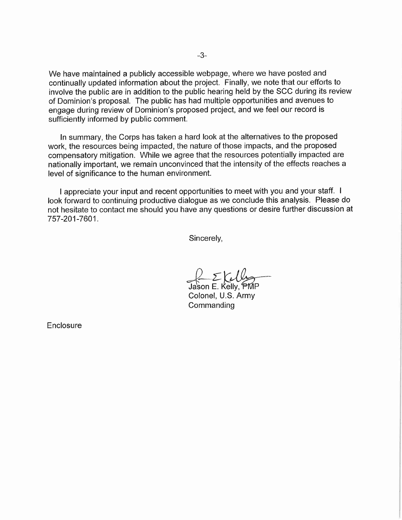We have maintained a publicly accessible webpage, where we have posted and continually updated information about the project. Finally, we note that our efforts to involve the public are in addition to the public hearing held by the SCC during its review of Dominion's proposal. The public has had multiple opportunities and avenues to engage during review of Dominion's proposed project, and we feel our record is sufficiently informed by public comment.

In summary, the Corps has taken a hard look at the alternatives to the proposed work, the resources being impacted, the nature of those impacts, and the proposed compensatory mitigation. While we agree that the resources potentially impacted are nationally important, we remain unconvinced that the intensity of the effects reaches a level of significance to the human environment.

I appreciate your input and recent opportunities to meet with you and your staff. I look forward to continuing productive dialogue as we conclude this analysis. Please do not hesitate to contact me should you have any questions or desire further discussion at 757-201-7601.

Sincerely,

 $\Sigma V$ 

Jason E. Kelly, PMP Colonel, U.S. Army **Commanding** 

**Enclosure**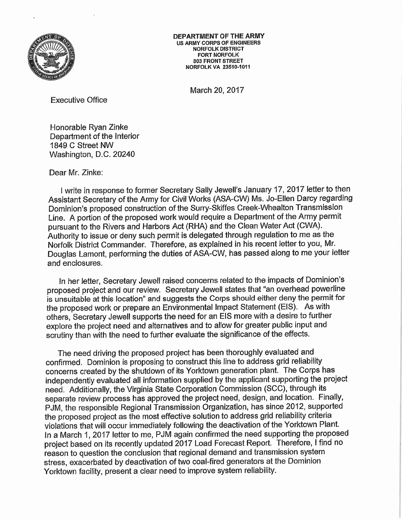

DEPARTMENT OF THE ARMY US ARMY CORPS OF ENGINEERS NORFOLK DISTRICT FORT NORFOLK 803 FRONT STREET NORFOLK VA 23510-1011

March 20, 2017

Executive Office

Honorable Ryan Zinke Department of the Interior 1849 C Street NW Washington, D.C. 20240

Dear Mr. Zinke:

I write in response to former Secretary Sally Jewell's January 17, 2017 letter to then Assistant Secretary of the Army for Civil Works (ASA-CW) Ms. Jo-Ellen Darcy regarding Dominion's proposed construction of the Surry-Skiffes Creek-WheaIton Transmission Line. A portion of the proposed work would require a Department of the Army permit pursuant to the Rivers and Harbors Act (RHA) and the Clean Water Act (CWA). Authority to issue or deny such permit is delegated through regulation to me as the Norfolk District Commander. Therefore, as explained in his recent letter to you, Mr. Douglas Lamont, performing the duties of ASA-CW, has passed along to me your letter and enclosures.

In her letter, Secretary Jewell raised concerns related to the impacts of Dominion's proposed project and our review. Secretary Jewell states that "an overhead powerline is unsuitable at this location" and suggests the Corps should either deny the permit for the proposed work or prepare an Environmental Impact Statement (EIS). As with others, Secretary Jewell supports the need for an EIS more with a desire to further explore the project need and alternatives and to allow for greater public input and scrutiny than with the need to further evaluate the significance of the effects.

The need driving the proposed project has been thoroughly evaluated and confirmed. Dominion is proposing to construct this line to address grid reliability concerns created by the shutdown of its Yorktown generation plant. The Corps has independently evaluated all information supplied by the applicant supporting the project need. Additionally, the Virginia State Corporation Commission (SCC), through its separate review process has approved the project need, design, and location. Finally, PJM, the responsible Regional Transmission Organization, has since 2012, supported the proposed project as the most effective solution to address grid reliability criteria violations that will occur immediately following the deactivation of the Yorktown Plant. In a March 1, 2017 letter to me, PJM again confirmed the need supporting the proposed project based on its recently updated 2017 Load Forecast Report. Therefore, I find no reason to question the conclusion that regional demand and transmission system stress, exacerbated by deactivation of two coal-fired generators at the Dominion Yorktown facility, present a clear need to improve system reliability.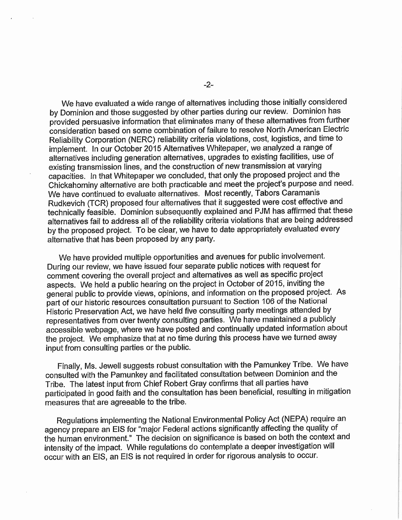We have evaluated a wide range of alternatives including those initially considered by Dominion and those suggested by other parties during our review. Dominion has provided persuasive information that eliminates many of these alternatives from further consideration based on some combination of failure to resolve North American Electric Reliability Corporation (NERC) reliability criteria violations, cost, logistics, and time to implement. In our October 2015 Alternatives Whitepaper, we analyzed a range of alternatives including generation alternatives, upgrades to existing facilities, use of existing transmission lines, and the construction of new transmission at varying capacities, in that Whitepaper we concluded, that only the proposed project and the Chickahominy alternative are both practicable and meet the project's purpose and need. We have continued to evaluate alternatives. Most recently, Tabors Caramanis Rudkevich (TCR) proposed four alternatives that it suggested were cost effective and technically feasible. Dominion subsequently explained and PJM has affirmed that these alternatives fail to address all of the reliability criteria violations that are being addressed by the proposed project. To be clear, we have to date appropriately evaluated every alternative that has been proposed by any party.

We have provided multiple opportunities and avenues for public involvement. During our review, we have issued four separate public notices with request for comment covering the overall project and alternatives as well as specific project aspects. We held a public hearing on the project in October of 2015, inviting the general public to provide views, opinions, and information on the proposed project. As part of our historic resources consultation pursuant to Section 106 of the National Historic Preservation Act, we have held five consulting party meetings attended by representatives from over twenty consulting parties. We have maintained a publicly accessible webpage, where we have posted and continually updated information about the project. We emphasize that at no time during this process have we turned away input from consulting parties or the public.

Finally, Ms. Jewel! suggests robust consultation with the Pamunkey Tribe. We have consulted with the Pamunkey and facilitated consultation between Dominion and the Tribe. The latest input from Chief Robert Gray confirms that all parties have participated in good faith and the consultation has been beneficial, resulting in mitigation measures that are agreeable to the tribe.

Regulations implementing the National Environmental Policy Act (NEPA) require an agency prepare an EIS for "major Federal actions significantly affecting the quality of the human environment." The decision on significance is based on both the context and intensity of the impact. While regulations do contemplate a deeper investigation will occur with an EIS, an EIS is not required in order for rigorous analysis to occur.